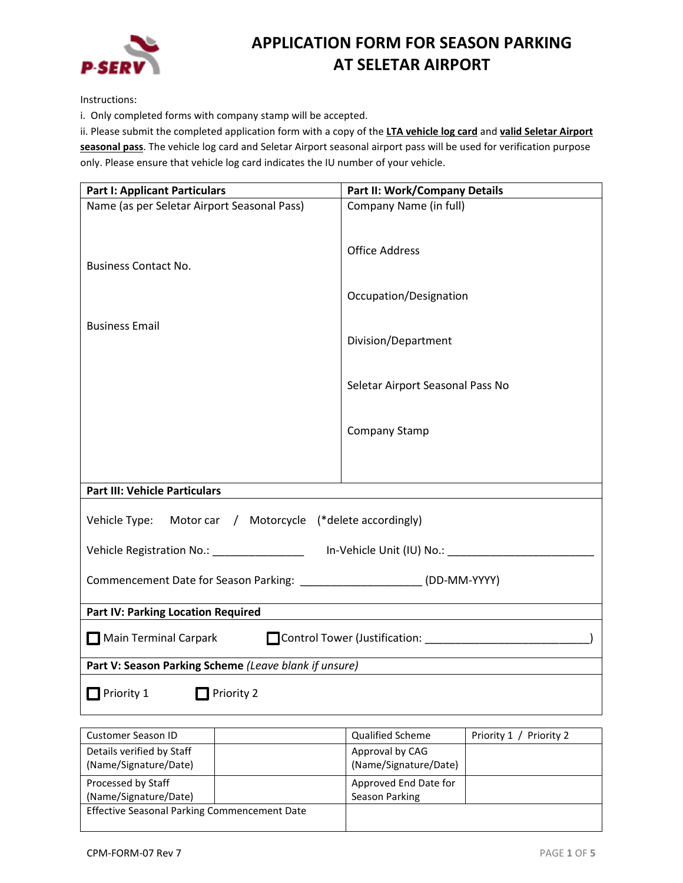

# APPLICATION FORM FOR SEASON PARKING AT SELETAR AIRPORT

Instructions:

i. Only completed forms with company stamp will be accepted.

ii. Please submit the completed application form with a copy of the LTA vehicle log card and valid Seletar Airport seasonal pass. The vehicle log card and Seletar Airport seasonal airport pass will be used for verification purpose only. Please ensure that vehicle log card indicates the IU number of your vehicle.

| <b>Part I: Applicant Particulars</b>                                                                | Part II: Work/Company Details    |  |  |
|-----------------------------------------------------------------------------------------------------|----------------------------------|--|--|
| Name (as per Seletar Airport Seasonal Pass)                                                         | Company Name (in full)           |  |  |
|                                                                                                     |                                  |  |  |
|                                                                                                     | <b>Office Address</b>            |  |  |
| <b>Business Contact No.</b>                                                                         |                                  |  |  |
|                                                                                                     | Occupation/Designation           |  |  |
| <b>Business Email</b>                                                                               |                                  |  |  |
|                                                                                                     | Division/Department              |  |  |
|                                                                                                     |                                  |  |  |
|                                                                                                     | Seletar Airport Seasonal Pass No |  |  |
|                                                                                                     |                                  |  |  |
|                                                                                                     | Company Stamp                    |  |  |
|                                                                                                     |                                  |  |  |
|                                                                                                     |                                  |  |  |
| <b>Part III: Vehicle Particulars</b>                                                                |                                  |  |  |
| Vehicle Type: Motor car / Motorcycle (*delete accordingly)                                          |                                  |  |  |
| Vehicle Registration No.: ____________________ In-Vehicle Unit (IU) No.: __________________________ |                                  |  |  |
| Commencement Date for Season Parking: ______________________(DD-MM-YYYY)                            |                                  |  |  |
| <b>Part IV: Parking Location Required</b>                                                           |                                  |  |  |
| Control Tower (Justification: 1999)<br>Main Terminal Carpark                                        |                                  |  |  |
| Part V: Season Parking Scheme (Leave blank if unsure)                                               |                                  |  |  |
| $\Box$ Priority 1<br>Priority 2                                                                     |                                  |  |  |

| Customer Season ID                                 | <b>Qualified Scheme</b>                  | Priority 1 / Priority 2 |
|----------------------------------------------------|------------------------------------------|-------------------------|
| Details verified by Staff<br>(Name/Signature/Date) | Approval by CAG<br>(Name/Signature/Date) |                         |
| Processed by Staff<br>(Name/Signature/Date)        | Approved End Date for<br>Season Parking  |                         |
| Effective Seasonal Parking Commencement Date       |                                          |                         |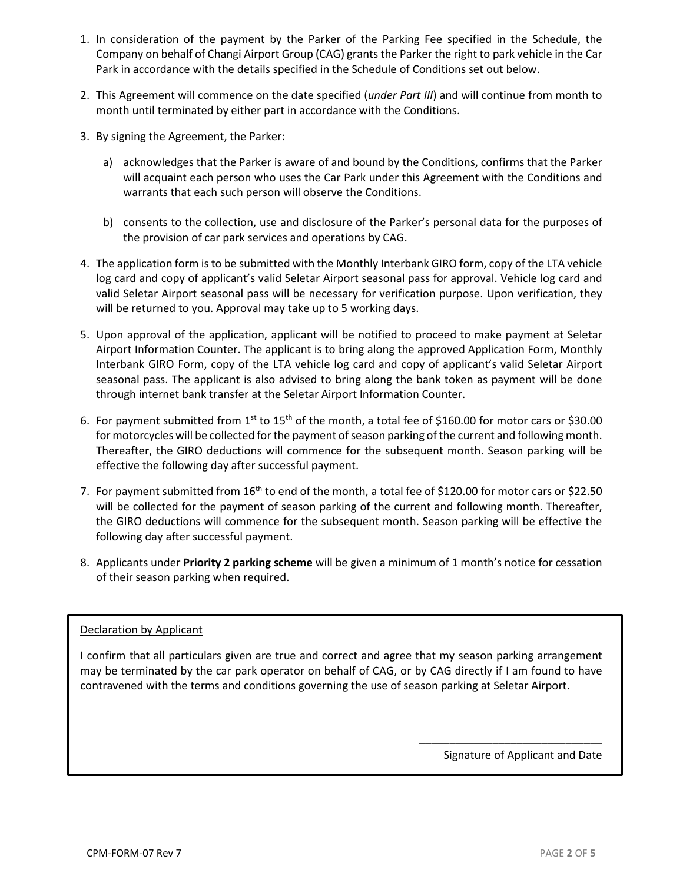- 1. In consideration of the payment by the Parker of the Parking Fee specified in the Schedule, the Company on behalf of Changi Airport Group (CAG) grants the Parker the right to park vehicle in the Car Park in accordance with the details specified in the Schedule of Conditions set out below.
- 2. This Agreement will commence on the date specified (*under Part III*) and will continue from month to month until terminated by either part in accordance with the Conditions.
- 3. By signing the Agreement, the Parker:
	- a) acknowledges that the Parker is aware of and bound by the Conditions, confirms that the Parker will acquaint each person who uses the Car Park under this Agreement with the Conditions and warrants that each such person will observe the Conditions.
	- b) consents to the collection, use and disclosure of the Parker's personal data for the purposes of the provision of car park services and operations by CAG.
- 4. The application form is to be submitted with the Monthly Interbank GIRO form, copy of the LTA vehicle log card and copy of applicant's valid Seletar Airport seasonal pass for approval. Vehicle log card and valid Seletar Airport seasonal pass will be necessary for verification purpose. Upon verification, they will be returned to you. Approval may take up to 5 working days.
- 5. Upon approval of the application, applicant will be notified to proceed to make payment at Seletar Airport Information Counter. The applicant is to bring along the approved Application Form, Monthly Interbank GIRO Form, copy of the LTA vehicle log card and copy of applicant's valid Seletar Airport seasonal pass. The applicant is also advised to bring along the bank token as payment will be done through internet bank transfer at the Seletar Airport Information Counter.
- 6. For payment submitted from  $1^{st}$  to  $15^{th}$  of the month, a total fee of \$160.00 for motor cars or \$30.00 for motorcycles will be collected for the payment of season parking of the current and following month. Thereafter, the GIRO deductions will commence for the subsequent month. Season parking will be effective the following day after successful payment.
- 7. For payment submitted from 16<sup>th</sup> to end of the month, a total fee of \$120.00 for motor cars or \$22.50 will be collected for the payment of season parking of the current and following month. Thereafter, the GIRO deductions will commence for the subsequent month. Season parking will be effective the following day after successful payment.
- 8. Applicants under Priority 2 parking scheme will be given a minimum of 1 month's notice for cessation of their season parking when required.

# Declaration by Applicant

I confirm that all particulars given are true and correct and agree that my season parking arrangement may be terminated by the car park operator on behalf of CAG, or by CAG directly if I am found to have contravened with the terms and conditions governing the use of season parking at Seletar Airport.

Signature of Applicant and Date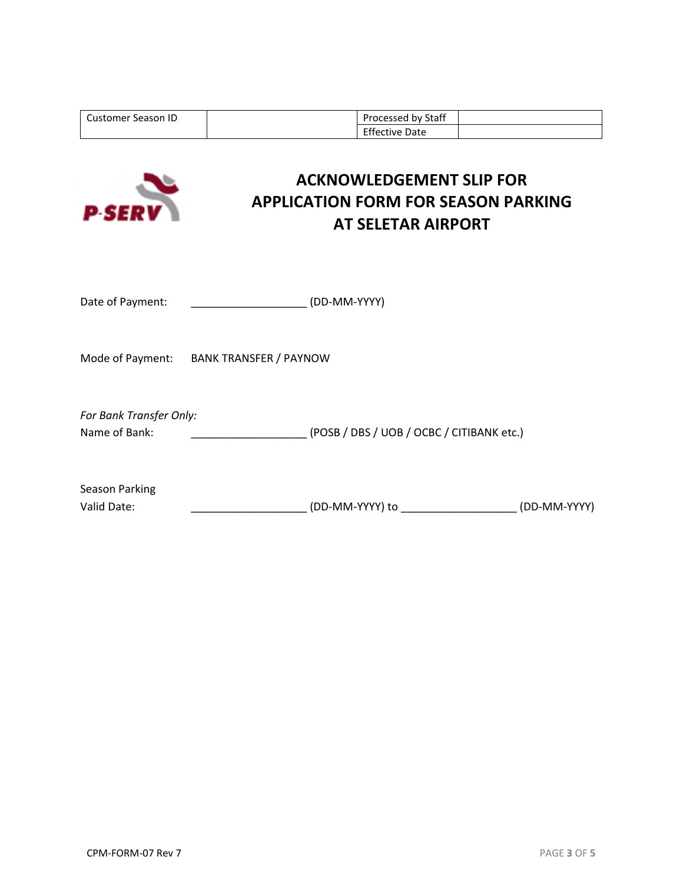| <b>Customer Season ID</b>                | Processed by Staff<br><b>Effective Date</b>                                                                |              |  |
|------------------------------------------|------------------------------------------------------------------------------------------------------------|--------------|--|
| <b>P-SERV</b>                            | <b>ACKNOWLEDGEMENT SLIP FOR</b><br><b>APPLICATION FORM FOR SEASON PARKING</b><br><b>AT SELETAR AIRPORT</b> |              |  |
| Date of Payment:                         | (DD-MM-YYYY)                                                                                               |              |  |
| Mode of Payment: BANK TRANSFER / PAYNOW  |                                                                                                            |              |  |
| For Bank Transfer Only:<br>Name of Bank: | (POSB / DBS / UOB / OCBC / CITIBANK etc.)                                                                  |              |  |
| <b>Season Parking</b><br>Valid Date:     | (DD-MM-YYYY) to                                                                                            | (DD-MM-YYYY) |  |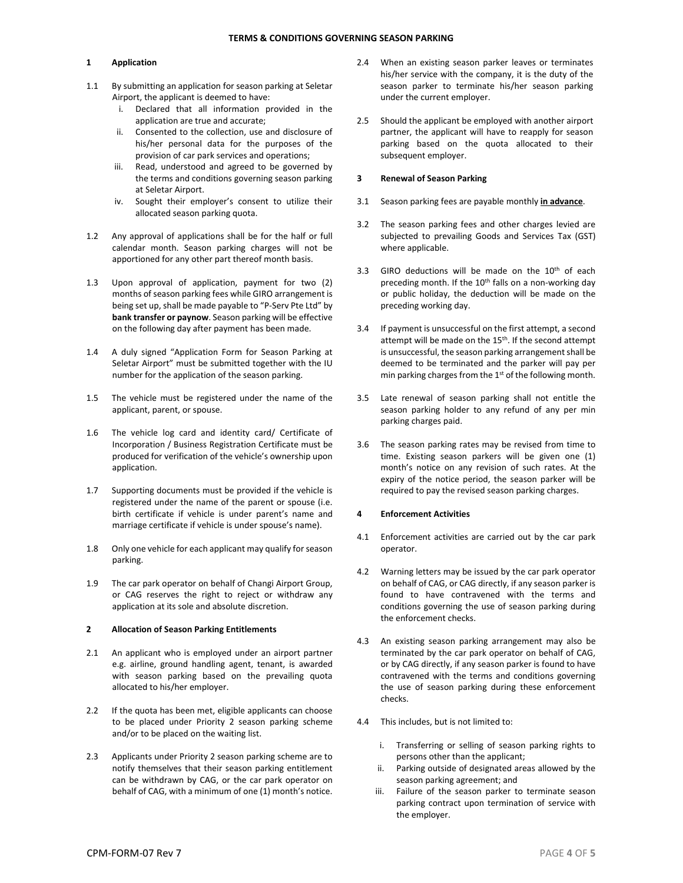## 1 Application

- 1.1 By submitting an application for season parking at Seletar Airport, the applicant is deemed to have:
	- i. Declared that all information provided in the application are true and accurate;
	- ii. Consented to the collection, use and disclosure of his/her personal data for the purposes of the provision of car park services and operations;
	- iii. Read, understood and agreed to be governed by the terms and conditions governing season parking at Seletar Airport.
	- iv. Sought their employer's consent to utilize their allocated season parking quota.
- 1.2 Any approval of applications shall be for the half or full calendar month. Season parking charges will not be apportioned for any other part thereof month basis.
- 1.3 Upon approval of application, payment for two (2) months of season parking fees while GIRO arrangement is being set up, shall be made payable to "P-Serv Pte Ltd" by bank transfer or paynow. Season parking will be effective on the following day after payment has been made.
- 1.4 A duly signed "Application Form for Season Parking at Seletar Airport" must be submitted together with the IU number for the application of the season parking.
- 1.5 The vehicle must be registered under the name of the applicant, parent, or spouse.
- 1.6 The vehicle log card and identity card/ Certificate of Incorporation / Business Registration Certificate must be produced for verification of the vehicle's ownership upon application.
- 1.7 Supporting documents must be provided if the vehicle is registered under the name of the parent or spouse (i.e. birth certificate if vehicle is under parent's name and marriage certificate if vehicle is under spouse's name).
- 1.8 Only one vehicle for each applicant may qualify for season parking.
- 1.9 The car park operator on behalf of Changi Airport Group, or CAG reserves the right to reject or withdraw any application at its sole and absolute discretion.

#### 2 Allocation of Season Parking Entitlements

- 2.1 An applicant who is employed under an airport partner e.g. airline, ground handling agent, tenant, is awarded with season parking based on the prevailing quota allocated to his/her employer.
- 2.2 If the quota has been met, eligible applicants can choose to be placed under Priority 2 season parking scheme and/or to be placed on the waiting list.
- 2.3 Applicants under Priority 2 season parking scheme are to notify themselves that their season parking entitlement can be withdrawn by CAG, or the car park operator on behalf of CAG, with a minimum of one (1) month's notice.
- 2.4 When an existing season parker leaves or terminates his/her service with the company, it is the duty of the season parker to terminate his/her season parking under the current employer.
- 2.5 Should the applicant be employed with another airport partner, the applicant will have to reapply for season parking based on the quota allocated to their subsequent employer.

#### 3 Renewal of Season Parking

- 3.1 Season parking fees are payable monthly in advance.
- 3.2 The season parking fees and other charges levied are subjected to prevailing Goods and Services Tax (GST) where applicable.
- 3.3 GIRO deductions will be made on the 10<sup>th</sup> of each preceding month. If the 10<sup>th</sup> falls on a non-working day or public holiday, the deduction will be made on the preceding working day.
- 3.4 If payment is unsuccessful on the first attempt, a second attempt will be made on the 15<sup>th</sup>. If the second attempt is unsuccessful, the season parking arrangement shall be deemed to be terminated and the parker will pay per min parking charges from the 1st of the following month.
- 3.5 Late renewal of season parking shall not entitle the season parking holder to any refund of any per min parking charges paid.
- 3.6 The season parking rates may be revised from time to time. Existing season parkers will be given one (1) month's notice on any revision of such rates. At the expiry of the notice period, the season parker will be required to pay the revised season parking charges.

#### 4 Enforcement Activities

- 4.1 Enforcement activities are carried out by the car park operator.
- 4.2 Warning letters may be issued by the car park operator on behalf of CAG, or CAG directly, if any season parker is found to have contravened with the terms and conditions governing the use of season parking during the enforcement checks.
- 4.3 An existing season parking arrangement may also be terminated by the car park operator on behalf of CAG, or by CAG directly, if any season parker is found to have contravened with the terms and conditions governing the use of season parking during these enforcement checks.
- 4.4 This includes, but is not limited to:
	- i. Transferring or selling of season parking rights to persons other than the applicant;
	- ii. Parking outside of designated areas allowed by the season parking agreement; and
	- iii. Failure of the season parker to terminate season parking contract upon termination of service with the employer.